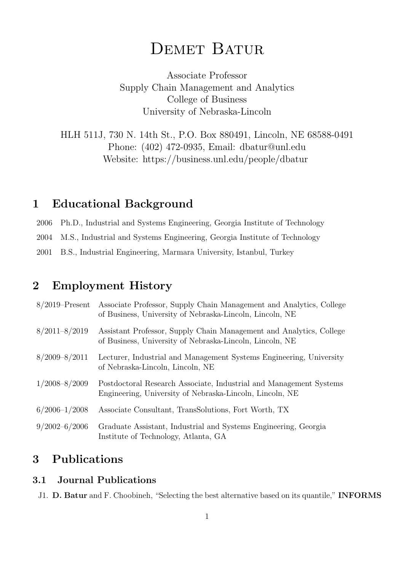# DEMET BATUR

Associate Professor Supply Chain Management and Analytics College of Business University of Nebraska-Lincoln

HLH 511J, 730 N. 14th St., P.O. Box 880491, Lincoln, NE 68588-0491 Phone: (402) 472-0935, Email: dbatur@unl.edu Website: https://business.unl.edu/people/dbatur

# 1 Educational Background

2006 Ph.D., Industrial and Systems Engineering, Georgia Institute of Technology

2004 M.S., Industrial and Systems Engineering, Georgia Institute of Technology

2001 B.S., Industrial Engineering, Marmara University, Istanbul, Turkey

# 2 Employment History

| $8/2019$ -Present | Associate Professor, Supply Chain Management and Analytics, College<br>of Business, University of Nebraska-Lincoln, Lincoln, NE |
|-------------------|---------------------------------------------------------------------------------------------------------------------------------|
| $8/2011 - 8/2019$ | Assistant Professor, Supply Chain Management and Analytics, College<br>of Business, University of Nebraska-Lincoln, Lincoln, NE |
| $8/2009 - 8/2011$ | Lecturer, Industrial and Management Systems Engineering, University<br>of Nebraska-Lincoln, Lincoln, NE                         |
| $1/2008 - 8/2009$ | Postdoctoral Research Associate, Industrial and Management Systems<br>Engineering, University of Nebraska-Lincoln, Lincoln, NE  |
| $6/2006 - 1/2008$ | Associate Consultant, TransSolutions, Fort Worth, TX                                                                            |
| $9/2002 - 6/2006$ | Graduate Assistant, Industrial and Systems Engineering, Georgia<br>Institute of Technology, Atlanta, GA                         |

# 3 Publications

### 3.1 Journal Publications

J1. D. Batur and F. Choobineh, "Selecting the best alternative based on its quantile," INFORMS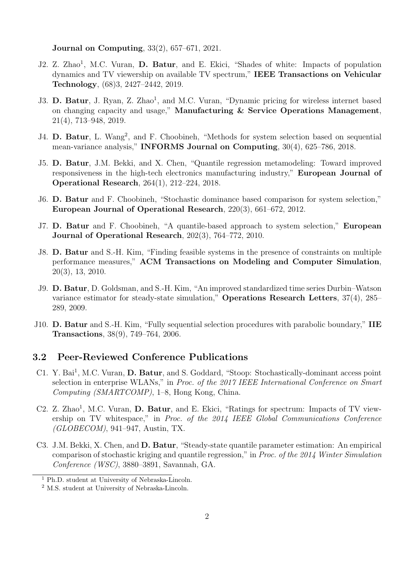#### Journal on Computing, 33(2), 657–671, 2021.

- J2. Z. Zhao<sup>1</sup>, M.C. Vuran, D. Batur, and E. Ekici, "Shades of white: Impacts of population dynamics and TV viewership on available TV spectrum," IEEE Transactions on Vehicular Technology, (68)3, 2427–2442, 2019.
- J3. D. Batur, J. Ryan, Z. Zhao<sup>1</sup>, and M.C. Vuran, "Dynamic pricing for wireless internet based on changing capacity and usage," Manufacturing & Service Operations Management, 21(4), 713–948, 2019.
- J4. D. Batur, L. Wang<sup>2</sup>, and F. Choobineh, "Methods for system selection based on sequential mean-variance analysis," INFORMS Journal on Computing, 30(4), 625–786, 2018.
- J5. D. Batur, J.M. Bekki, and X. Chen, "Quantile regression metamodeling: Toward improved responsiveness in the high-tech electronics manufacturing industry," European Journal of Operational Research, 264(1), 212–224, 2018.
- J6. D. Batur and F. Choobineh, "Stochastic dominance based comparison for system selection," European Journal of Operational Research, 220(3), 661–672, 2012.
- J7. D. Batur and F. Choobineh, "A quantile-based approach to system selection," European Journal of Operational Research, 202(3), 764–772, 2010.
- J8. D. Batur and S.-H. Kim, "Finding feasible systems in the presence of constraints on multiple performance measures," ACM Transactions on Modeling and Computer Simulation, 20(3), 13, 2010.
- J9. D. Batur, D. Goldsman, and S.-H. Kim, "An improved standardized time series Durbin–Watson variance estimator for steady-state simulation," Operations Research Letters, 37(4), 285– 289, 2009.
- J10. D. Batur and S.-H. Kim, "Fully sequential selection procedures with parabolic boundary," IIE Transactions, 38(9), 749–764, 2006.

#### 3.2 Peer-Reviewed Conference Publications

- C1. Y. Bai<sup>1</sup>, M.C. Vuran, D. Batur, and S. Goddard, "Stoop: Stochastically-dominant access point selection in enterprise WLANs," in Proc. of the 2017 IEEE International Conference on Smart Computing (SMARTCOMP), 1–8, Hong Kong, China.
- C2. Z. Zhao<sup>1</sup>, M.C. Vuran, D. Batur, and E. Ekici, "Ratings for spectrum: Impacts of TV viewership on TV whitespace," in Proc. of the 2014 IEEE Global Communications Conference (GLOBECOM), 941–947, Austin, TX.
- C3. J.M. Bekki, X. Chen, and D. Batur, "Steady-state quantile parameter estimation: An empirical comparison of stochastic kriging and quantile regression," in Proc. of the 2014 Winter Simulation Conference (WSC), 3880–3891, Savannah, GA.

 $^{\rm 1}$  Ph.D. student at University of Nebraska-Lincoln.

<sup>2</sup> M.S. student at University of Nebraska-Lincoln.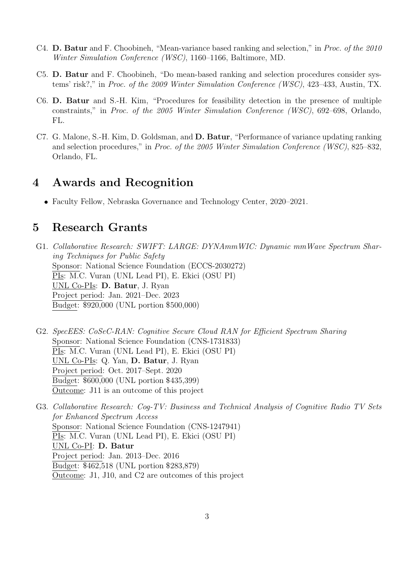- C4. D. Batur and F. Choobineh, "Mean-variance based ranking and selection," in Proc. of the 2010 Winter Simulation Conference (WSC), 1160–1166, Baltimore, MD.
- C5. D. Batur and F. Choobineh, "Do mean-based ranking and selection procedures consider systems' risk?," in Proc. of the 2009 Winter Simulation Conference (WSC), 423–433, Austin, TX.
- C6. D. Batur and S.-H. Kim, "Procedures for feasibility detection in the presence of multiple constraints," in Proc. of the 2005 Winter Simulation Conference (WSC), 692–698, Orlando, FL.
- C7. G. Malone, S.-H. Kim, D. Goldsman, and D. Batur, "Performance of variance updating ranking and selection procedures," in Proc. of the 2005 Winter Simulation Conference (WSC), 825–832, Orlando, FL.

# 4 Awards and Recognition

Faculty Fellow, Nebraska Governance and Technology Center, 2020–2021.

# 5 Research Grants

- G1. Collaborative Research: SWIFT: LARGE: DYNAmmWIC: Dynamic mmWave Spectrum Sharing Techniques for Public Safety Sponsor: National Science Foundation (ECCS-2030272) PIs: M.C. Vuran (UNL Lead PI), E. Ekici (OSU PI) UNL Co-PIs: D. Batur, J. Ryan Project period: Jan. 2021–Dec. 2023 Budget: \$920,000 (UNL portion \$500,000)
- G2. SpecEES: CoSeC-RAN: Cognitive Secure Cloud RAN for Efficient Spectrum Sharing Sponsor: National Science Foundation (CNS-1731833) PIs: M.C. Vuran (UNL Lead PI), E. Ekici (OSU PI) UNL Co-PIs: Q. Yan, D. Batur, J. Ryan Project period: Oct. 2017–Sept. 2020 Budget: \$600,000 (UNL portion \$435,399) Outcome: J11 is an outcome of this project
- G3. Collaborative Research: Cog-TV: Business and Technical Analysis of Cognitive Radio TV Sets for Enhanced Spectrum Access Sponsor: National Science Foundation (CNS-1247941) PIs: M.C. Vuran (UNL Lead PI), E. Ekici (OSU PI) UNL Co-PI: D. Batur Project period: Jan. 2013–Dec. 2016 Budget: \$462,518 (UNL portion \$283,879) Outcome: J1, J10, and C2 are outcomes of this project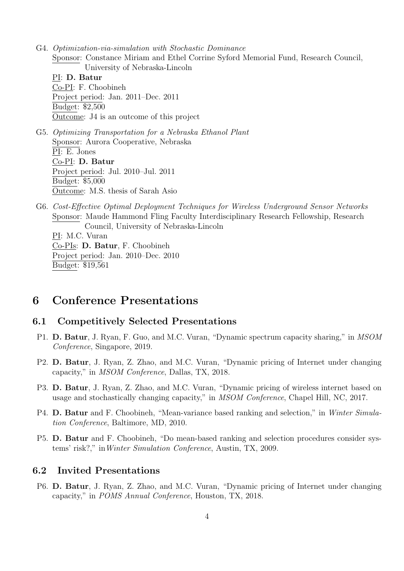G4. Optimization-via-simulation with Stochastic Dominance Sponsor: Constance Miriam and Ethel Corrine Syford Memorial Fund, Research Council, University of Nebraska-Lincoln PI: D. Batur Co-PI: F. Choobineh Project period: Jan. 2011–Dec. 2011 Budget: \$2,500 Outcome: J4 is an outcome of this project G5. Optimizing Transportation for a Nebraska Ethanol Plant Sponsor: Aurora Cooperative, Nebraska PI: E. Jones Co-PI: D. Batur Project period: Jul. 2010–Jul. 2011

Budget: \$5,000 Outcome: M.S. thesis of Sarah Asio

G6. Cost-Effective Optimal Deployment Techniques for Wireless Underground Sensor Networks Sponsor: Maude Hammond Fling Faculty Interdisciplinary Research Fellowship, Research Council, University of Nebraska-Lincoln PI: M.C. Vuran Co-PIs: D. Batur, F. Choobineh Project period: Jan. 2010–Dec. 2010 Budget: \$19,561

# 6 Conference Presentations

#### 6.1 Competitively Selected Presentations

- P1. D. Batur, J. Ryan, F. Guo, and M.C. Vuran, "Dynamic spectrum capacity sharing," in MSOM Conference, Singapore, 2019.
- P2. D. Batur, J. Ryan, Z. Zhao, and M.C. Vuran, "Dynamic pricing of Internet under changing capacity," in MSOM Conference, Dallas, TX, 2018.
- P3. D. Batur, J. Ryan, Z. Zhao, and M.C. Vuran, "Dynamic pricing of wireless internet based on usage and stochastically changing capacity," in MSOM Conference, Chapel Hill, NC, 2017.
- P4. D. Batur and F. Choobineh, "Mean-variance based ranking and selection," in Winter Simulation Conference, Baltimore, MD, 2010.
- P5. D. Batur and F. Choobineh, "Do mean-based ranking and selection procedures consider systems' risk?," inWinter Simulation Conference, Austin, TX, 2009.

### 6.2 Invited Presentations

P6. D. Batur, J. Ryan, Z. Zhao, and M.C. Vuran, "Dynamic pricing of Internet under changing capacity," in POMS Annual Conference, Houston, TX, 2018.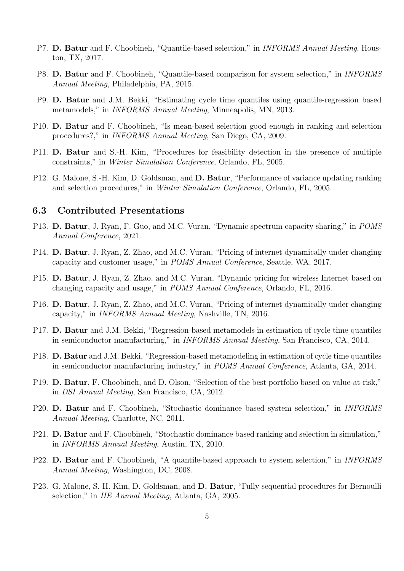- P7. D. Batur and F. Choobineh, "Quantile-based selection," in INFORMS Annual Meeting, Houston, TX, 2017.
- P8. D. Batur and F. Choobineh, "Quantile-based comparison for system selection," in INFORMS Annual Meeting, Philadelphia, PA, 2015.
- P9. D. Batur and J.M. Bekki, "Estimating cycle time quantiles using quantile-regression based metamodels," in INFORMS Annual Meeting, Minneapolis, MN, 2013.
- P10. D. Batur and F. Choobineh, "Is mean-based selection good enough in ranking and selection procedures?," in INFORMS Annual Meeting, San Diego, CA, 2009.
- P11. D. Batur and S.-H. Kim, "Procedures for feasibility detection in the presence of multiple constraints," in Winter Simulation Conference, Orlando, FL, 2005.
- P12. G. Malone, S.-H. Kim, D. Goldsman, and D. Batur, "Performance of variance updating ranking and selection procedures," in Winter Simulation Conference, Orlando, FL, 2005.

#### 6.3 Contributed Presentations

- P13. D. Batur, J. Ryan, F. Guo, and M.C. Vuran, "Dynamic spectrum capacity sharing," in POMS Annual Conference, 2021.
- P14. D. Batur, J. Ryan, Z. Zhao, and M.C. Vuran, "Pricing of internet dynamically under changing capacity and customer usage," in POMS Annual Conference, Seattle, WA, 2017.
- P15. D. Batur, J. Ryan, Z. Zhao, and M.C. Vuran, "Dynamic pricing for wireless Internet based on changing capacity and usage," in POMS Annual Conference, Orlando, FL, 2016.
- P16. D. Batur, J. Ryan, Z. Zhao, and M.C. Vuran, "Pricing of internet dynamically under changing capacity," in INFORMS Annual Meeting, Nashville, TN, 2016.
- P17. D. Batur and J.M. Bekki, "Regression-based metamodels in estimation of cycle time quantiles in semiconductor manufacturing," in INFORMS Annual Meeting, San Francisco, CA, 2014.
- P18. D. Batur and J.M. Bekki, "Regression-based metamodeling in estimation of cycle time quantiles in semiconductor manufacturing industry," in POMS Annual Conference, Atlanta, GA, 2014.
- P19. D. Batur, F. Choobineh, and D. Olson, "Selection of the best portfolio based on value-at-risk," in DSI Annual Meeting, San Francisco, CA, 2012.
- P20. D. Batur and F. Choobineh, "Stochastic dominance based system selection," in INFORMS Annual Meeting, Charlotte, NC, 2011.
- P21. D. Batur and F. Choobineh, "Stochastic dominance based ranking and selection in simulation," in INFORMS Annual Meeting, Austin, TX, 2010.
- P22. D. Batur and F. Choobineh, "A quantile-based approach to system selection," in INFORMS Annual Meeting, Washington, DC, 2008.
- P23. G. Malone, S.-H. Kim, D. Goldsman, and D. Batur, "Fully sequential procedures for Bernoulli selection," in IIE Annual Meeting, Atlanta, GA, 2005.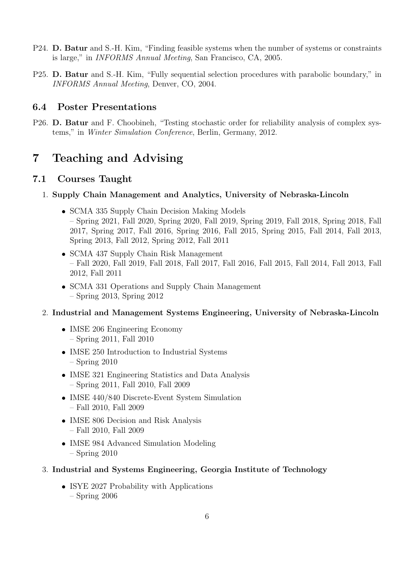- P24. D. Batur and S.-H. Kim, "Finding feasible systems when the number of systems or constraints is large," in INFORMS Annual Meeting, San Francisco, CA, 2005.
- P25. D. Batur and S.-H. Kim, "Fully sequential selection procedures with parabolic boundary," in INFORMS Annual Meeting, Denver, CO, 2004.

### 6.4 Poster Presentations

P26. D. Batur and F. Choobineh, "Testing stochastic order for reliability analysis of complex systems," in Winter Simulation Conference, Berlin, Germany, 2012.

# 7 Teaching and Advising

### 7.1 Courses Taught

- 1. Supply Chain Management and Analytics, University of Nebraska-Lincoln
	- SCMA 335 Supply Chain Decision Making Models – Spring 2021, Fall 2020, Spring 2020, Fall 2019, Spring 2019, Fall 2018, Spring 2018, Fall 2017, Spring 2017, Fall 2016, Spring 2016, Fall 2015, Spring 2015, Fall 2014, Fall 2013, Spring 2013, Fall 2012, Spring 2012, Fall 2011
	- SCMA 437 Supply Chain Risk Management – Fall 2020, Fall 2019, Fall 2018, Fall 2017, Fall 2016, Fall 2015, Fall 2014, Fall 2013, Fall 2012, Fall 2011
	- SCMA 331 Operations and Supply Chain Management – Spring 2013, Spring 2012

#### 2. Industrial and Management Systems Engineering, University of Nebraska-Lincoln

- IMSE 206 Engineering Economy – Spring 2011, Fall 2010
- IMSE 250 Introduction to Industrial Systems – Spring 2010
- IMSE 321 Engineering Statistics and Data Analysis – Spring 2011, Fall 2010, Fall 2009
- IMSE 440/840 Discrete-Event System Simulation – Fall 2010, Fall 2009
- IMSE 806 Decision and Risk Analysis – Fall 2010, Fall 2009
- IMSE 984 Advanced Simulation Modeling – Spring 2010
- 3. Industrial and Systems Engineering, Georgia Institute of Technology
	- ISYE 2027 Probability with Applications – Spring 2006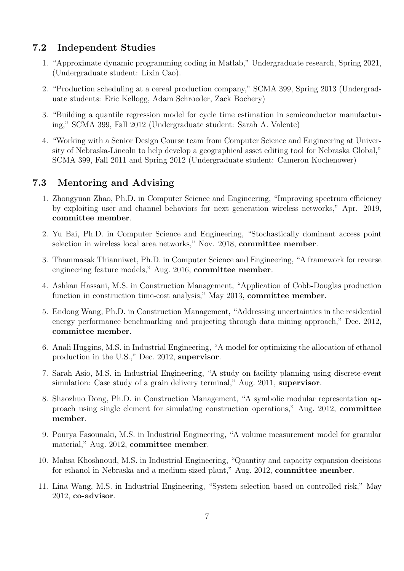### 7.2 Independent Studies

- 1. "Approximate dynamic programming coding in Matlab," Undergraduate research, Spring 2021, (Undergraduate student: Lixin Cao).
- 2. "Production scheduling at a cereal production company," SCMA 399, Spring 2013 (Undergraduate students: Eric Kellogg, Adam Schroeder, Zack Bochery)
- 3. "Building a quantile regression model for cycle time estimation in semiconductor manufacturing," SCMA 399, Fall 2012 (Undergraduate student: Sarah A. Valente)
- 4. "Working with a Senior Design Course team from Computer Science and Engineering at University of Nebraska-Lincoln to help develop a geographical asset editing tool for Nebraska Global," SCMA 399, Fall 2011 and Spring 2012 (Undergraduate student: Cameron Kochenower)

### 7.3 Mentoring and Advising

- 1. Zhongyuan Zhao, Ph.D. in Computer Science and Engineering, "Improving spectrum efficiency by exploiting user and channel behaviors for next generation wireless networks," Apr. 2019, committee member.
- 2. Yu Bai, Ph.D. in Computer Science and Engineering, "Stochastically dominant access point selection in wireless local area networks," Nov. 2018, committee member.
- 3. Thammasak Thianniwet, Ph.D. in Computer Science and Engineering, "A framework for reverse engineering feature models," Aug. 2016, committee member.
- 4. Ashkan Hassani, M.S. in Construction Management, "Application of Cobb-Douglas production function in construction time-cost analysis," May 2013, committee member.
- 5. Endong Wang, Ph.D. in Construction Management, "Addressing uncertainties in the residential energy performance benchmarking and projecting through data mining approach," Dec. 2012, committee member.
- 6. Anali Huggins, M.S. in Industrial Engineering, "A model for optimizing the allocation of ethanol production in the U.S.," Dec. 2012, supervisor.
- 7. Sarah Asio, M.S. in Industrial Engineering, "A study on facility planning using discrete-event simulation: Case study of a grain delivery terminal," Aug. 2011, **supervisor**.
- 8. Shaozhuo Dong, Ph.D. in Construction Management, "A symbolic modular representation approach using single element for simulating construction operations," Aug. 2012, committee member.
- 9. Pourya Fasounaki, M.S. in Industrial Engineering, "A volume measurement model for granular material," Aug. 2012, committee member.
- 10. Mahsa Khoshnoud, M.S. in Industrial Engineering, "Quantity and capacity expansion decisions for ethanol in Nebraska and a medium-sized plant," Aug. 2012, committee member.
- 11. Lina Wang, M.S. in Industrial Engineering, "System selection based on controlled risk," May 2012, co-advisor.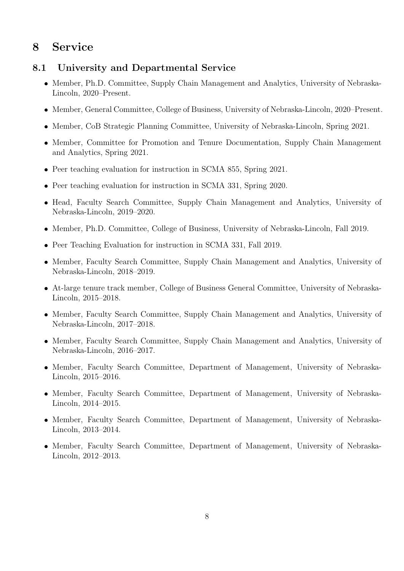# 8 Service

### 8.1 University and Departmental Service

- Member, Ph.D. Committee, Supply Chain Management and Analytics, University of Nebraska-Lincoln, 2020–Present.
- Member, General Committee, College of Business, University of Nebraska-Lincoln, 2020–Present.
- Member, CoB Strategic Planning Committee, University of Nebraska-Lincoln, Spring 2021.
- Member, Committee for Promotion and Tenure Documentation, Supply Chain Management and Analytics, Spring 2021.
- Peer teaching evaluation for instruction in SCMA 855, Spring 2021.
- Peer teaching evaluation for instruction in SCMA 331, Spring 2020.
- Head, Faculty Search Committee, Supply Chain Management and Analytics, University of Nebraska-Lincoln, 2019–2020.
- Member, Ph.D. Committee, College of Business, University of Nebraska-Lincoln, Fall 2019.
- Peer Teaching Evaluation for instruction in SCMA 331, Fall 2019.
- Member, Faculty Search Committee, Supply Chain Management and Analytics, University of Nebraska-Lincoln, 2018–2019.
- At-large tenure track member, College of Business General Committee, University of Nebraska-Lincoln, 2015–2018.
- Member, Faculty Search Committee, Supply Chain Management and Analytics, University of Nebraska-Lincoln, 2017–2018.
- Member, Faculty Search Committee, Supply Chain Management and Analytics, University of Nebraska-Lincoln, 2016–2017.
- Member, Faculty Search Committee, Department of Management, University of Nebraska-Lincoln, 2015–2016.
- Member, Faculty Search Committee, Department of Management, University of Nebraska-Lincoln, 2014–2015.
- Member, Faculty Search Committee, Department of Management, University of Nebraska-Lincoln, 2013–2014.
- Member, Faculty Search Committee, Department of Management, University of Nebraska-Lincoln, 2012–2013.